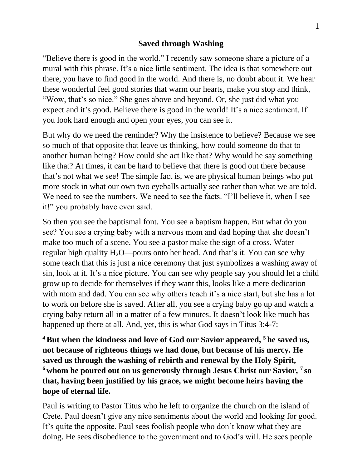## **Saved through Washing**

"Believe there is good in the world." I recently saw someone share a picture of a mural with this phrase. It's a nice little sentiment. The idea is that somewhere out there, you have to find good in the world. And there is, no doubt about it. We hear these wonderful feel good stories that warm our hearts, make you stop and think, "Wow, that's so nice." She goes above and beyond. Or, she just did what you expect and it's good. Believe there is good in the world! It's a nice sentiment. If you look hard enough and open your eyes, you can see it.

But why do we need the reminder? Why the insistence to believe? Because we see so much of that opposite that leave us thinking, how could someone do that to another human being? How could she act like that? Why would he say something like that? At times, it can be hard to believe that there is good out there because that's not what we see! The simple fact is, we are physical human beings who put more stock in what our own two eyeballs actually see rather than what we are told. We need to see the numbers. We need to see the facts. "I'll believe it, when I see it!" you probably have even said.

So then you see the baptismal font. You see a baptism happen. But what do you see? You see a crying baby with a nervous mom and dad hoping that she doesn't make too much of a scene. You see a pastor make the sign of a cross. Water regular high quality  $H_2O$ —pours onto her head. And that's it. You can see why some teach that this is just a nice ceremony that just symbolizes a washing away of sin, look at it. It's a nice picture. You can see why people say you should let a child grow up to decide for themselves if they want this, looks like a mere dedication with mom and dad. You can see why others teach it's a nice start, but she has a lot to work on before she is saved. After all, you see a crying baby go up and watch a crying baby return all in a matter of a few minutes. It doesn't look like much has happened up there at all. And, yet, this is what God says in Titus 3:4-7:

**<sup>4</sup>But when the kindness and love of God our Savior appeared, <sup>5</sup> he saved us, not because of righteous things we had done, but because of his mercy. He saved us through the washing of rebirth and renewal by the Holy Spirit, <sup>6</sup> whom he poured out on us generously through Jesus Christ our Savior, <sup>7</sup> so that, having been justified by his grace, we might become heirs having the hope of eternal life.**

Paul is writing to Pastor Titus who he left to organize the church on the island of Crete. Paul doesn't give any nice sentiments about the world and looking for good. It's quite the opposite. Paul sees foolish people who don't know what they are doing. He sees disobedience to the government and to God's will. He sees people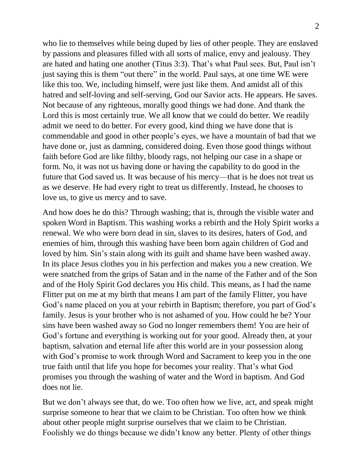who lie to themselves while being duped by lies of other people. They are enslaved by passions and pleasures filled with all sorts of malice, envy and jealousy. They are hated and hating one another (Titus 3:3). That's what Paul sees. But, Paul isn't just saying this is them "out there" in the world. Paul says, at one time WE were like this too. We, including himself, were just like them. And amidst all of this hatred and self-loving and self-serving, God our Savior acts. He appears. He saves. Not because of any righteous, morally good things we had done. And thank the Lord this is most certainly true. We all know that we could do better. We readily admit we need to do better. For every good, kind thing we have done that is commendable and good in other people's eyes, we have a mountain of bad that we have done or, just as damning, considered doing. Even those good things without faith before God are like filthy, bloody rags, not helping our case in a shape or form. No, it was not us having done or having the capability to do good in the future that God saved us. It was because of his mercy—that is he does not treat us as we deserve. He had every right to treat us differently. Instead, he chooses to love us, to give us mercy and to save.

And how does he do this? Through washing; that is, through the visible water and spoken Word in Baptism. This washing works a rebirth and the Holy Spirit works a renewal. We who were born dead in sin, slaves to its desires, haters of God, and enemies of him, through this washing have been born again children of God and loved by him. Sin's stain along with its guilt and shame have been washed away. In its place Jesus clothes you in his perfection and makes you a new creation. We were snatched from the grips of Satan and in the name of the Father and of the Son and of the Holy Spirit God declares you His child. This means, as I had the name Flitter put on me at my birth that means I am part of the family Flitter, you have God's name placed on you at your rebirth in Baptism; therefore, you part of God's family. Jesus is your brother who is not ashamed of you. How could he be? Your sins have been washed away so God no longer remembers them! You are heir of God's fortune and everything is working out for your good. Already then, at your baptism, salvation and eternal life after this world are in your possession along with God's promise to work through Word and Sacrament to keep you in the one true faith until that life you hope for becomes your reality. That's what God promises you through the washing of water and the Word in baptism. And God does not lie.

But we don't always see that, do we. Too often how we live, act, and speak might surprise someone to hear that we claim to be Christian. Too often how we think about other people might surprise ourselves that we claim to be Christian. Foolishly we do things because we didn't know any better. Plenty of other things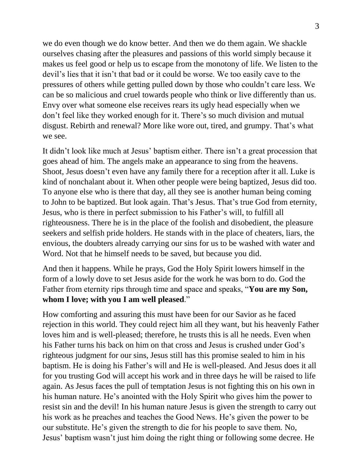we do even though we do know better. And then we do them again. We shackle ourselves chasing after the pleasures and passions of this world simply because it makes us feel good or help us to escape from the monotony of life. We listen to the devil's lies that it isn't that bad or it could be worse. We too easily cave to the pressures of others while getting pulled down by those who couldn't care less. We can be so malicious and cruel towards people who think or live differently than us. Envy over what someone else receives rears its ugly head especially when we don't feel like they worked enough for it. There's so much division and mutual disgust. Rebirth and renewal? More like wore out, tired, and grumpy. That's what we see.

It didn't look like much at Jesus' baptism either. There isn't a great procession that goes ahead of him. The angels make an appearance to sing from the heavens. Shoot, Jesus doesn't even have any family there for a reception after it all. Luke is kind of nonchalant about it. When other people were being baptized, Jesus did too. To anyone else who is there that day, all they see is another human being coming to John to be baptized. But look again. That's Jesus. That's true God from eternity, Jesus, who is there in perfect submission to his Father's will, to fulfill all righteousness. There he is in the place of the foolish and disobedient, the pleasure seekers and selfish pride holders. He stands with in the place of cheaters, liars, the envious, the doubters already carrying our sins for us to be washed with water and Word. Not that he himself needs to be saved, but because you did.

And then it happens. While he prays, God the Holy Spirit lowers himself in the form of a lowly dove to set Jesus aside for the work he was born to do. God the Father from eternity rips through time and space and speaks, "**You are my Son, whom I love; with you I am well pleased**."

How comforting and assuring this must have been for our Savior as he faced rejection in this world. They could reject him all they want, but his heavenly Father loves him and is well-pleased; therefore, he trusts this is all he needs. Even when his Father turns his back on him on that cross and Jesus is crushed under God's righteous judgment for our sins, Jesus still has this promise sealed to him in his baptism. He is doing his Father's will and He is well-pleased. And Jesus does it all for you trusting God will accept his work and in three days he will be raised to life again. As Jesus faces the pull of temptation Jesus is not fighting this on his own in his human nature. He's anointed with the Holy Spirit who gives him the power to resist sin and the devil! In his human nature Jesus is given the strength to carry out his work as he preaches and teaches the Good News. He's given the power to be our substitute. He's given the strength to die for his people to save them. No, Jesus' baptism wasn't just him doing the right thing or following some decree. He